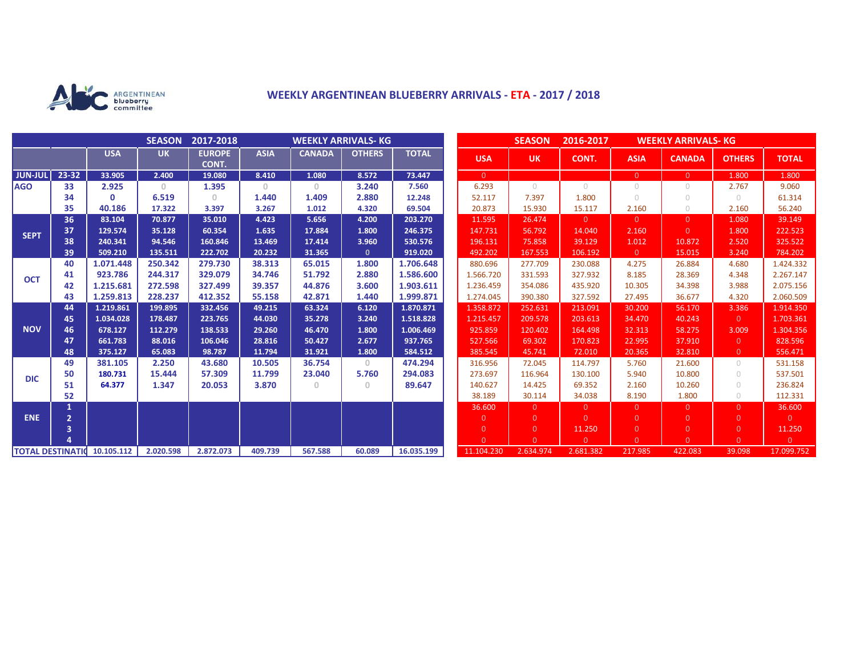

## **WEEKLY ARGENTINEAN BLUEBERRY ARRIVALS - ETA - 2017 / 2018**

|                          |                         |            | <b>SEASON</b> | 2017-2018<br><b>WEEKLY ARRIVALS- KG</b> |             |               |               |              | <b>SEASON</b><br>2016-2017<br><b>WEEKLY ARRIVALS- KG</b> |                |                |                |                |                |                |
|--------------------------|-------------------------|------------|---------------|-----------------------------------------|-------------|---------------|---------------|--------------|----------------------------------------------------------|----------------|----------------|----------------|----------------|----------------|----------------|
|                          |                         | <b>USA</b> | <b>UK</b>     | <b>EUROPE</b><br>CONT.                  | <b>ASIA</b> | <b>CANADA</b> | <b>OTHERS</b> | <b>TOTAL</b> | <b>USA</b>                                               | <b>UK</b>      | CONT.          | <b>ASIA</b>    | <b>CANADA</b>  | <b>OTHERS</b>  | <b>TOTAL</b>   |
| <b>JUN-JUL</b>           | 23-32                   | 33.905     | 2.400         | 19.080                                  | 8.410       | 1.080         | 8.572         | 73.447       | $\overline{0}$                                           |                |                | $\overline{0}$ | $\overline{0}$ | 1.800          | 1.800          |
| <b>AGO</b>               | 33                      | 2.925      | $\circ$       | 1.395                                   | $\theta$    | $\circ$       | 3.240         | 7.560        | 6.293                                                    | $\bigcirc$     | $\bigcirc$     | $\circ$        | 0              | 2.767          | 9.060          |
|                          | 34                      | 0          | 6.519         | 0.                                      | 1.440       | 1.409         | 2.880         | 12.248       | 52.117                                                   | 7.397          | 1.800          | $\bigcirc$     | $\cup$         | $\bigcirc$     | 61.314         |
|                          | 35                      | 40.186     | 17.322        | 3.397                                   | 3.267       | 1.012         | 4.320         | 69.504       | 20.873                                                   | 15.930         | 15.117         | 2.160          | $\circ$        | 2.160          | 56.240         |
| <b>SEPT</b>              | 36                      | 83.104     | 70.877        | 35.010                                  | 4.423       | 5.656         | 4.200         | 203.270      | 11.595                                                   | 26.474         | $\Omega$       | $\overline{0}$ | $\Omega$       | 1.080          | 39.149         |
|                          | 37                      | 129.574    | 35.128        | 60.354                                  | 1.635       | 17.884        | 1.800         | 246.375      | 147.731                                                  | 56.792         | 14.040         | 2.160          | $\Omega$       | 1.800          | 222.523        |
|                          | 38                      | 240.341    | 94.546        | 160.846                                 | 13.469      | 17.414        | 3.960         | 530.576      | 196.131                                                  | 75.858         | 39.129         | 1.012          | 10.872         | 2.520          | 325.522        |
|                          | 39                      | 509.210    | 135.511       | 222.702                                 | 20.232      | 31.365        | $\mathbf{0}$  | 919.020      | 492.202                                                  | 167.553        | 106.192        | $\overline{0}$ | 15.015         | 3.240          | 784.202        |
| <b>OCT</b>               | 40                      | 1.071.448  | 250.342       | 279.730                                 | 38.313      | 65.015        | 1.800         | 1.706.648    | 880.696                                                  | 277.709        | 230.088        | 4.275          | 26.884         | 4.680          | 1.424.332      |
|                          | 41                      | 923.786    | 244.317       | 329.079                                 | 34.746      | 51.792        | 2.880         | 1.586.600    | 1.566.720                                                | 331.593        | 327.932        | 8.185          | 28.369         | 4.348          | 2.267.147      |
|                          | 42                      | 1.215.681  | 272.598       | 327.499                                 | 39.357      | 44.876        | 3.600         | 1.903.611    | 1.236.459                                                | 354.086        | 435.920        | 10.305         | 34.398         | 3.988          | 2.075.156      |
|                          | 43                      | 1.259.813  | 228.237       | 412.352                                 | 55.158      | 42.871        | 1.440         | 1.999.871    | 1.274.045                                                | 390.380        | 327.592        | 27.495         | 36.677         | 4.320          | 2.060.509      |
| <b>NOV</b>               | 44                      | 1.219.861  | 199.895       | 332.456                                 | 49.215      | 63.324        | 6.120         | 1.870.871    | 1.358.872                                                | 252.631        | 213.091        | 30.200         | 56.170         | 3.386          | 1.914.350      |
|                          | 45                      | 1.034.028  | 178.487       | 223.765                                 | 44.030      | 35.278        | 3.240         | 1.518.828    | 1.215.457                                                | 209.578        | 203.613        | 34,470         | 40.243         | $\Omega$       | 1.703.361      |
|                          | 46                      | 678.127    | 112.279       | 138.533                                 | 29.260      | 46.470        | 1.800         | 1.006.469    | 925.859                                                  | 120.402        | 164.498        | 32.313         | 58.275         | 3.009          | 1.304.356      |
|                          | 47                      | 661.783    | 88.016        | 106.046                                 | 28.816      | 50.427        | 2.677         | 937.765      | 527.566                                                  | 69.302         | 170.823        | 22.995         | 37.910         | $\Omega$       | 828.596        |
|                          | 48                      | 375.127    | 65.083        | 98.787                                  | 11.794      | 31.921        | 1.800         | 584.512      | 385.545                                                  | 45.741         | 72.010         | 20.365         | 32.810         | $\overline{0}$ | 556.471        |
| <b>DIC</b>               | 49                      | 381.105    | 2.250         | 43.680                                  | 10.505      | 36.754        | $\circ$       | 474.294      | 316.956                                                  | 72.045         | 114.797        | 5.760          | 21.600         | $\circ$        | 531.158        |
|                          | 50                      | 180.731    | 15.444        | 57.309                                  | 11.799      | 23.040        | 5.760         | 294.083      | 273.697                                                  | 116.964        | 130.100        | 5.940          | 10.800         | $\circ$        | 537.501        |
|                          | 51                      | 64.377     | 1.347         | 20.053                                  | 3.870       | $\circ$       | $\mathbf{0}$  | 89.647       | 140.627                                                  | 14.425         | 69.352         | 2.160          | 10.260         | $\cup$         | 236.824        |
|                          | 52                      |            |               |                                         |             |               |               |              | 38.189                                                   | 30.114         | 34.038         | 8.190          | 1.800          | $\circ$        | 112.331        |
|                          |                         |            |               |                                         |             |               |               |              | 36.600                                                   | $\Omega$       | $\overline{0}$ | $\overline{0}$ | $\Omega$       | $\overline{0}$ | 36.600         |
| <b>ENE</b>               | $\overline{2}$          |            |               |                                         |             |               |               |              | $\overline{0}$                                           | $\overline{0}$ | $\Omega$       | $\overline{0}$ | $\Omega$       | $\overline{0}$ | $\overline{0}$ |
|                          | $\overline{\mathbf{3}}$ |            |               |                                         |             |               |               |              | $\overline{0}$                                           | $\overline{0}$ | 11.250         | $\overline{0}$ | $\overline{0}$ | $\overline{0}$ | 11.250         |
|                          |                         |            |               |                                         |             |               |               |              | $\Omega$                                                 | $\Omega$       | $\overline{0}$ | $\Omega$       | $\Omega$       | $\Omega$       | $\overline{0}$ |
| <b>TOTAL DESTINATION</b> |                         | 10.105.112 | 2.020.598     | 2.872.073                               | 409.739     | 567.588       | 60.089        | 16.035.199   | 11.104.230                                               | 2.634.974      | 2.681.382      | 217.985        | 422.083        | 39.098         | 17.099.752     |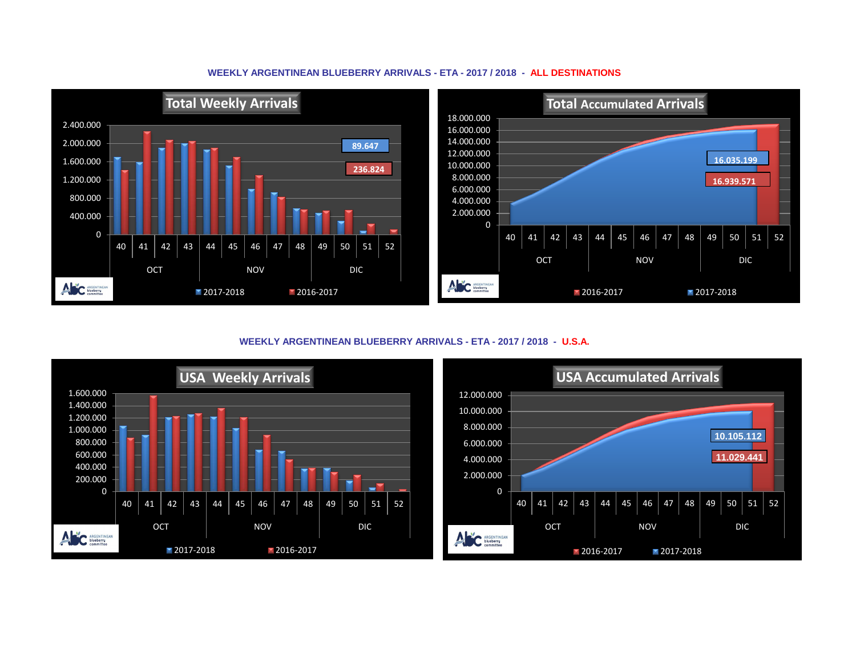## **WEEKLY ARGENTINEAN BLUEBERRY ARRIVALS - ETA - 2017 / 2018 - ALL DESTINATIONS**



**WEEKLY ARGENTINEAN BLUEBERRY ARRIVALS - ETA - 2017 / 2018 - U.S.A.**



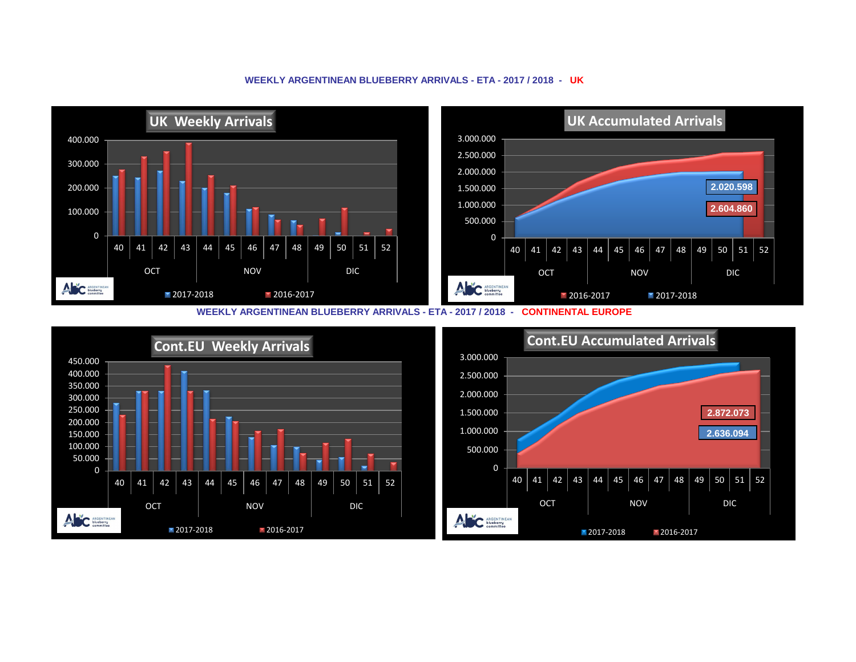## **WEEKLY ARGENTINEAN BLUEBERRY ARRIVALS - ETA - 2017 / 2018 - UK**



**WEEKLY ARGENTINEAN BLUEBERRY ARRIVALS - ETA - 2017 / 2018 - CONTINENTAL EUROPE**